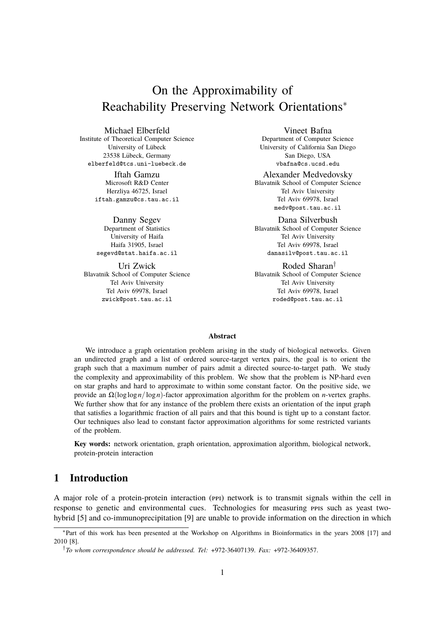# On the Approximability of Reachability Preserving Network Orientations<sup>∗</sup>

Michael Elberfeld

Institute of Theoretical Computer Science University of Lübeck 23538 Lübeck, Germany elberfeld@tcs.uni-luebeck.de

> Iftah Gamzu Microsoft R&D Center Herzliya 46725, Israel iftah.gamzu@cs.tau.ac.il

Danny Segev Department of Statistics University of Haifa Haifa 31905, Israel segevd@stat.haifa.ac.il

Uri Zwick Blavatnik School of Computer Science Tel Aviv University Tel Aviv 69978, Israel zwick@post.tau.ac.il

Vineet Bafna Department of Computer Science University of California San Diego San Diego, USA vbafna@cs.ucsd.edu

Alexander Medvedovsky Blavatnik School of Computer Science Tel Aviv University Tel Aviv 69978, Israel medv@post.tau.ac.il

Dana Silverbush Blavatnik School of Computer Science Tel Aviv University Tel Aviv 69978, Israel danasilv@post.tau.ac.il

Roded Sharan† Blavatnik School of Computer Science Tel Aviv University Tel Aviv 69978, Israel roded@post.tau.ac.il

#### **Abstract**

We introduce a graph orientation problem arising in the study of biological networks. Given an undirected graph and a list of ordered source-target vertex pairs, the goal is to orient the graph such that a maximum number of pairs admit a directed source-to-target path. We study the complexity and approximability of this problem. We show that the problem is NP-hard even on star graphs and hard to approximate to within some constant factor. On the positive side, we provide an Ω(loglog*n*/log*n*)-factor approximation algorithm for the problem on *n*-vertex graphs. We further show that for any instance of the problem there exists an orientation of the input graph that satisfies a logarithmic fraction of all pairs and that this bound is tight up to a constant factor. Our techniques also lead to constant factor approximation algorithms for some restricted variants of the problem.

**Key words:** network orientation, graph orientation, approximation algorithm, biological network, protein-protein interaction

# **1 Introduction**

A major role of a protein-protein interaction (ppi) network is to transmit signals within the cell in response to genetic and environmental cues. Technologies for measuring ppis such as yeast twohybrid [\[5\]](#page-12-0) and co-immunoprecipitation [\[9\]](#page-12-1) are unable to provide information on the direction in which

<sup>∗</sup> Part of this work has been presented at the Workshop on Algorithms in Bioinformatics in the years 2008 [\[17\]](#page-13-0) and 2010 [\[8\]](#page-12-2).

<sup>†</sup> *To whom correspondence should be addressed. Tel:* +972-36407139. *Fax:* +972-36409357.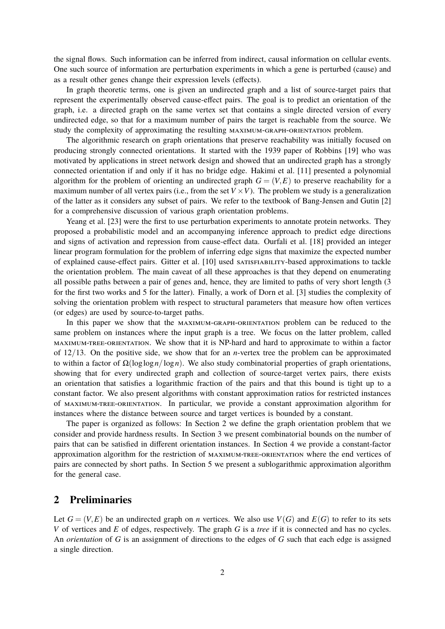the signal flows. Such information can be inferred from indirect, causal information on cellular events. One such source of information are perturbation experiments in which a gene is perturbed (cause) and as a result other genes change their expression levels (effects).

In graph theoretic terms, one is given an undirected graph and a list of source-target pairs that represent the experimentally observed cause-effect pairs. The goal is to predict an orientation of the graph, i.e. a directed graph on the same vertex set that contains a single directed version of every undirected edge, so that for a maximum number of pairs the target is reachable from the source. We study the complexity of approximating the resulting maximum-graph-orientation problem.

The algorithmic research on graph orientations that preserve reachability was initially focused on producing strongly connected orientations. It started with the 1939 paper of Robbins [\[19\]](#page-13-1) who was motivated by applications in street network design and showed that an undirected graph has a strongly connected orientation if and only if it has no bridge edge. Hakimi et al. [\[11\]](#page-12-3) presented a polynomial algorithm for the problem of orienting an undirected graph  $G = (V, E)$  to preserve reachability for a maximum number of all vertex pairs (i.e., from the set  $V \times V$ ). The problem we study is a generalization of the latter as it considers any subset of pairs. We refer to the textbook of Bang-Jensen and Gutin [\[2\]](#page-11-0) for a comprehensive discussion of various graph orientation problems.

Yeang et al. [\[23\]](#page-13-2) were the first to use perturbation experiments to annotate protein networks. They proposed a probabilistic model and an accompanying inference approach to predict edge directions and signs of activation and repression from cause-effect data. Ourfali et al. [\[18\]](#page-13-3) provided an integer linear program formulation for the problem of inferring edge signs that maximize the expected number of explained cause-effect pairs. Gitter et al. [\[10\]](#page-12-4) used satisfiability-based approximations to tackle the orientation problem. The main caveat of all these approaches is that they depend on enumerating all possible paths between a pair of genes and, hence, they are limited to paths of very short length (3 for the first two works and 5 for the latter). Finally, a work of Dorn et al. [\[3\]](#page-11-1) studies the complexity of solving the orientation problem with respect to structural parameters that measure how often vertices (or edges) are used by source-to-target paths.

In this paper we show that the maximum-graph-orientation problem can be reduced to the same problem on instances where the input graph is a tree. We focus on the latter problem, called maximum-tree-orientation. We show that it is NP-hard and hard to approximate to within a factor of 12/13. On the positive side, we show that for an *n*-vertex tree the problem can be approximated to within a factor of Ω(loglog*n*/log*n*). We also study combinatorial properties of graph orientations, showing that for every undirected graph and collection of source-target vertex pairs, there exists an orientation that satisfies a logarithmic fraction of the pairs and that this bound is tight up to a constant factor. We also present algorithms with constant approximation ratios for restricted instances of maximum-tree-orientation. In particular, we provide a constant approximation algorithm for instances where the distance between source and target vertices is bounded by a constant.

The paper is organized as follows: In Section [2](#page-1-0) we define the graph orientation problem that we consider and provide hardness results. In Section [3](#page-3-0) we present combinatorial bounds on the number of pairs that can be satisfied in different orientation instances. In Section [4](#page-5-0) we provide a constant-factor approximation algorithm for the restriction of maximum-tree-orientation where the end vertices of pairs are connected by short paths. In Section [5](#page-7-0) we present a sublogarithmic approximation algorithm for the general case.

## <span id="page-1-0"></span>**2 Preliminaries**

Let  $G = (V, E)$  be an undirected graph on *n* vertices. We also use  $V(G)$  and  $E(G)$  to refer to its sets *V* of vertices and *E* of edges, respectively. The graph *G* is a *tree* if it is connected and has no cycles. An *orientation* of *G* is an assignment of directions to the edges of *G* such that each edge is assigned a single direction.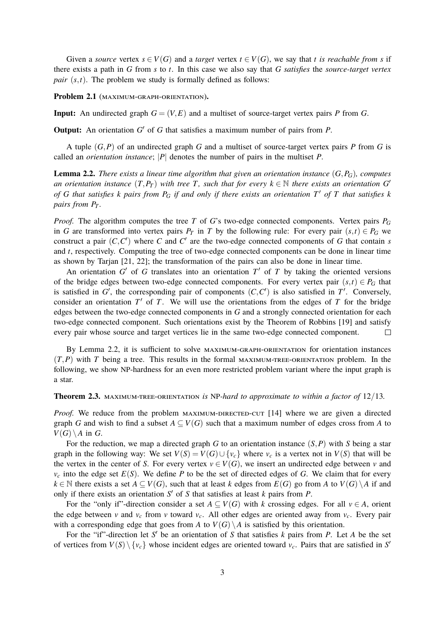Given a *source* vertex  $s \in V(G)$  and a *target* vertex  $t \in V(G)$ , we say that *t is reachable from s* if there exists a path in *G* from *s* to *t*. In this case we also say that *G satisfies* the *source-target vertex pair*  $(s,t)$ . The problem we study is formally defined as follows:

Problem 2.1 (MAXIMUM-GRAPH-ORIENTATION).

**Input:** An undirected graph  $G = (V, E)$  and a multiset of source-target vertex pairs *P* from *G*.

**Output:** An orientation  $G'$  of  $G$  that satisfies a maximum number of pairs from  $P$ .

A tuple (*G*,*P*) of an undirected graph *G* and a multiset of source-target vertex pairs *P* from *G* is called an *orientation instance*; |*P*| denotes the number of pairs in the multiset *P*.

<span id="page-2-0"></span>**Lemma 2.2.** *There exists a linear time algorithm that given an orientation instance*  $(G, P_G)$ *, computes an orientation instance*  $(T, P_T)$  *with tree T*, *such that for every*  $k \in \mathbb{N}$  *there exists an orientation G of* G that satisfies *k* pairs from  $P_G$  if and only if there exists an orientation  $T'$  of T that satisfies *k pairs from P<sup>T</sup> .*

*Proof.* The algorithm computes the tree *T* of *G*'s two-edge connected components. Vertex pairs *P<sup>G</sup>* in *G* are transformed into vertex pairs  $P_T$  in *T* by the following rule: For every pair  $(s,t) \in P_G$  we construct a pair  $(C, C')$  where *C* and  $C'$  are the two-edge connected components of *G* that contain *s* and *t*, respectively. Computing the tree of two-edge connected components can be done in linear time as shown by Tarjan [\[21,](#page-13-4) [22\]](#page-13-5); the transformation of the pairs can also be done in linear time.

An orientation  $G'$  of  $G$  translates into an orientation  $T'$  of  $T$  by taking the oriented versions of the bridge edges between two-edge connected components. For every vertex pair  $(s,t) \in P_G$  that is satisfied in  $G'$ , the corresponding pair of components  $(C, C')$  is also satisfied in  $T'$ . Conversely, consider an orientation  $T'$  of  $T$ . We will use the orientations from the edges of  $T$  for the bridge edges between the two-edge connected components in *G* and a strongly connected orientation for each two-edge connected component. Such orientations exist by the Theorem of Robbins [\[19\]](#page-13-1) and satisfy every pair whose source and target vertices lie in the same two-edge connected component.  $\Box$ 

By Lemma [2.2,](#page-2-0) it is sufficient to solve maximum-graph-orientation for orientation instances  $(T, P)$  with *T* being a tree. This results in the formal MAXIMUM-TREE-ORIENTATION problem. In the following, we show NP-hardness for an even more restricted problem variant where the input graph is a star.

#### <span id="page-2-1"></span>**Theorem 2.3.** maximum-tree-orientation *is* NP*-hard to approximate to within a factor of* 12/13*.*

*Proof.* We reduce from the problem  $MAXIMUM-DIRECTED-CUT$  [\[14\]](#page-12-5) where we are given a directed graph *G* and wish to find a subset  $A \subseteq V(G)$  such that a maximum number of edges cross from *A* to  $V(G) \backslash A$  in *G*.

For the reduction, we map a directed graph *G* to an orientation instance (*S*,*P*) with *S* being a star graph in the following way: We set  $V(S) = V(G) \cup \{v_c\}$  where  $v_c$  is a vertex not in  $V(S)$  that will be the vertex in the center of *S*. For every vertex  $v \in V(G)$ , we insert an undirected edge between *v* and  $v_c$  into the edge set  $E(S)$ . We define *P* to be the set of directed edges of *G*. We claim that for every *k* ∈ N there exists a set *A* ⊆ *V*(*G*), such that at least *k* edges from *E*(*G*) go from *A* to *V*(*G*) \*A* if and only if there exists an orientation  $S'$  of  $S$  that satisfies at least  $k$  pairs from  $P$ .

For the "only if"-direction consider a set  $A \subseteq V(G)$  with *k* crossing edges. For all  $v \in A$ , orient the edge between *v* and  $v_c$  from *v* toward  $v_c$ . All other edges are oriented away from  $v_c$ . Every pair with a corresponding edge that goes from *A* to  $V(G) \setminus A$  is satisfied by this orientation.

For the "if"-direction let S' be an orientation of S that satisfies  $k$  pairs from  $P$ . Let  $A$  be the set of vertices from  $V(S) \setminus \{v_c\}$  whose incident edges are oriented toward  $v_c$ . Pairs that are satisfied in *S*<sup>*i*</sup>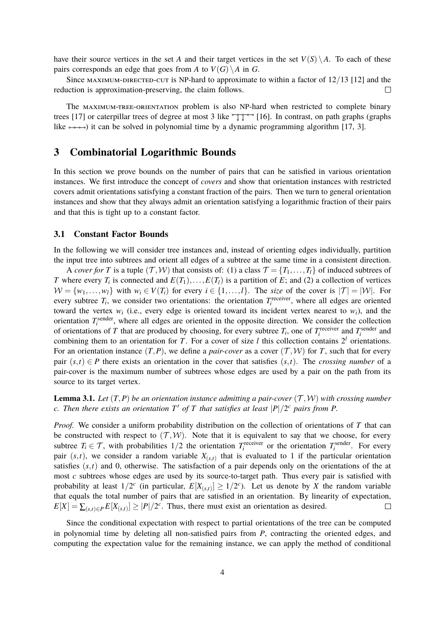have their source vertices in the set *A* and their target vertices in the set  $V(S) \setminus A$ . To each of these pairs corresponds an edge that goes from *A* to  $V(G) \setminus A$  in *G*.

Since MAXIMUM-DIRECTED-CUT is NP-hard to approximate to within a factor of  $12/13$  [\[12\]](#page-12-6) and the reduction is approximation-preserving, the claim follows.  $\Box$ 

The maximum-tree-orientation problem is also NP-hard when restricted to complete binary trees [\[17\]](#page-13-0) or caterpillar trees of degree at most 3 like  $\int_{0}^{\infty}$  [\[16\]](#page-12-7). In contrast, on path graphs (graphs like  $\rightarrow \rightarrow$ ) it can be solved in polynomial time by a dynamic programming algorithm [\[17,](#page-13-0) [3\]](#page-11-1).

### <span id="page-3-0"></span>**3 Combinatorial Logarithmic Bounds**

In this section we prove bounds on the number of pairs that can be satisfied in various orientation instances. We first introduce the concept of *covers* and show that orientation instances with restricted covers admit orientations satisfying a constant fraction of the pairs. Then we turn to general orientation instances and show that they always admit an orientation satisfying a logarithmic fraction of their pairs and that this is tight up to a constant factor.

#### **3.1 Constant Factor Bounds**

In the following we will consider tree instances and, instead of orienting edges individually, partition the input tree into subtrees and orient all edges of a subtree at the same time in a consistent direction.

A *cover for T* is a tuple  $(T, W)$  that consists of: (1) a class  $T = \{T_1, \ldots, T_l\}$  of induced subtrees of *T* where every  $T_i$  is connected and  $E(T_1),...,E(T_l)$  is a partition of *E*; and (2) a collection of vertices  $W = \{w_1, \ldots, w_l\}$  with  $w_i \in V(T_i)$  for every  $i \in \{1, \ldots, l\}$ . The *size* of the cover is  $|T| = |W|$ . For every subtree  $T_i$ , we consider two orientations: the orientation  $T_i^{\text{receiver}}$ , where all edges are oriented toward the vertex  $w_i$  (i.e., every edge is oriented toward its incident vertex nearest to  $w_i$ ), and the orientation  $T_i^{\text{sender}}$ , where all edges are oriented in the opposite direction. We consider the collection of orientations of *T* that are produced by choosing, for every subtree  $T_i$ , one of  $T_i^{\text{receiver}}$  and  $T_i^{\text{sender}}$  and combining them to an orientation for *T*. For a cover of size *l* this collection contains  $2^l$  orientations. For an orientation instance  $(T, P)$ , we define a *pair-cover* as a cover  $(T, W)$  for T, such that for every pair  $(s,t) \in P$  there exists an orientation in the cover that satisfies  $(s,t)$ . The *crossing number* of a pair-cover is the maximum number of subtrees whose edges are used by a pair on the path from its source to its target vertex.

<span id="page-3-1"></span>**Lemma 3.1.** *Let*  $(T, P)$  *be an orientation instance admitting a pair-cover*  $(T, W)$  *with crossing number c*. Then there exists an orientation  $T'$  of  $T$  that satisfies at least  $|P|/2^c$  pairs from P.

*Proof.* We consider a uniform probability distribution on the collection of orientations of *T* that can be constructed with respect to  $(T, W)$ . Note that it is equivalent to say that we choose, for every subtree  $T_i \in \mathcal{T}$ , with probabilities  $1/2$  the orientation  $T_i^{\text{receiver}}$  or the orientation  $T_i^{\text{sender}}$ . For every pair  $(s,t)$ , we consider a random variable  $X_{(s,t)}$  that is evaluated to 1 if the particular orientation satisfies  $(s,t)$  and 0, otherwise. The satisfaction of a pair depends only on the orientations of the at most *c* subtrees whose edges are used by its source-to-target path. Thus every pair is satisfied with probability at least  $1/2^c$  (in particular,  $E[X_{(s,t)}] \geq 1/2^c$ ). Let us denote by *X* the random variable that equals the total number of pairs that are satisfied in an orientation. By linearity of expectation,  $E[X] = \sum_{(s,t) \in P} E[X_{(s,t)}] \ge |P|/2^c$ . Thus, there must exist an orientation as desired.  $\Box$ 

Since the conditional expectation with respect to partial orientations of the tree can be computed in polynomial time by deleting all non-satisfied pairs from *P*, contracting the oriented edges, and computing the expectation value for the remaining instance, we can apply the method of conditional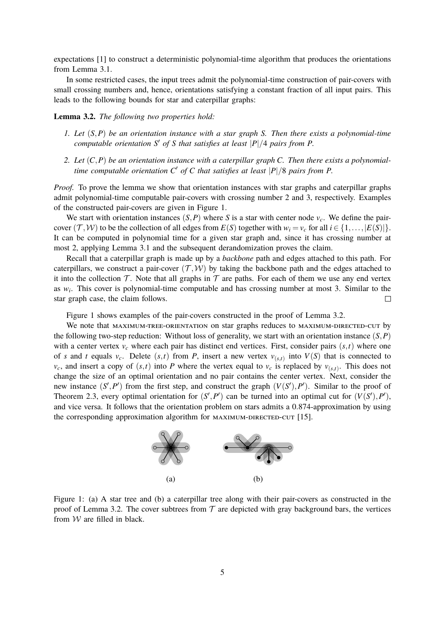expectations [\[1\]](#page-11-2) to construct a deterministic polynomial-time algorithm that produces the orientations from Lemma [3.1.](#page-3-1)

In some restricted cases, the input trees admit the polynomial-time construction of pair-covers with small crossing numbers and, hence, orientations satisfying a constant fraction of all input pairs. This leads to the following bounds for star and caterpillar graphs:

<span id="page-4-1"></span>**Lemma 3.2.** *The following two properties hold:*

- *1. Let* (*S*,*P*) *be an orientation instance with a star graph S. Then there exists a polynomial-time computable orientation*  $S'$  *of*  $S$  *that satisfies at least*  $|P|/4$  *pairs from*  $P$ *.*
- *2. Let* (*C*,*P*) *be an orientation instance with a caterpillar graph C. Then there exists a polynomialtime computable orientation C* <sup>0</sup> *of C that satisfies at least* |*P*|/8 *pairs from P.*

*Proof.* To prove the lemma we show that orientation instances with star graphs and caterpillar graphs admit polynomial-time computable pair-covers with crossing number 2 and 3, respectively. Examples of the constructed pair-covers are given in Figure [1.](#page-4-0)

We start with orientation instances  $(S, P)$  where *S* is a star with center node  $v_c$ . We define the paircover  $(\mathcal{T}, \mathcal{W})$  to be the collection of all edges from  $E(S)$  together with  $w_i = v_c$  for all  $i \in \{1, \ldots, |E(S)|\}$ . It can be computed in polynomial time for a given star graph and, since it has crossing number at most 2, applying Lemma [3.1](#page-3-1) and the subsequent derandomization proves the claim.

Recall that a caterpillar graph is made up by a *backbone* path and edges attached to this path. For caterpillars, we construct a pair-cover  $(\mathcal{T}, \mathcal{W})$  by taking the backbone path and the edges attached to it into the collection  $\mathcal T$ . Note that all graphs in  $\mathcal T$  are paths. For each of them we use any end vertex as  $w_i$ . This cover is polynomial-time computable and has crossing number at most 3. Similar to the star graph case, the claim follows.  $\Box$ 

Figure [1](#page-4-0) shows examples of the pair-covers constructed in the proof of Lemma [3.2.](#page-4-1)

We note that MAXIMUM-TREE-ORIENTATION on star graphs reduces to MAXIMUM-DIRECTED-CUT by the following two-step reduction: Without loss of generality, we start with an orientation instance (*S*,*P*) with a center vertex  $v_c$  where each pair has distinct end vertices. First, consider pairs  $(s, t)$  where one of *s* and *t* equals  $v_c$ . Delete  $(s,t)$  from *P*, insert a new vertex  $v_{(s,t)}$  into  $V(S)$  that is connected to  $v_c$ , and insert a copy of  $(s,t)$  into *P* where the vertex equal to  $v_c$  is replaced by  $v_{(s,t)}$ . This does not change the size of an optimal orientation and no pair contains the center vertex. Next, consider the new instance  $(S', P')$  from the first step, and construct the graph  $(V(S'), P')$ . Similar to the proof of Theorem [2.3,](#page-2-1) every optimal orientation for  $(S', P')$  can be turned into an optimal cut for  $(V(S'), P')$ , and vice versa. It follows that the orientation problem on stars admits a 0.874-approximation by using the corresponding approximation algorithm for MAXIMUM-DIRECTED-CUT [\[15\]](#page-12-8).



<span id="page-4-0"></span>Figure 1: (a) A star tree and (b) a caterpillar tree along with their pair-covers as constructed in the proof of Lemma [3.2.](#page-4-1) The cover subtrees from  $\mathcal T$  are depicted with gray background bars, the vertices from  $W$  are filled in black.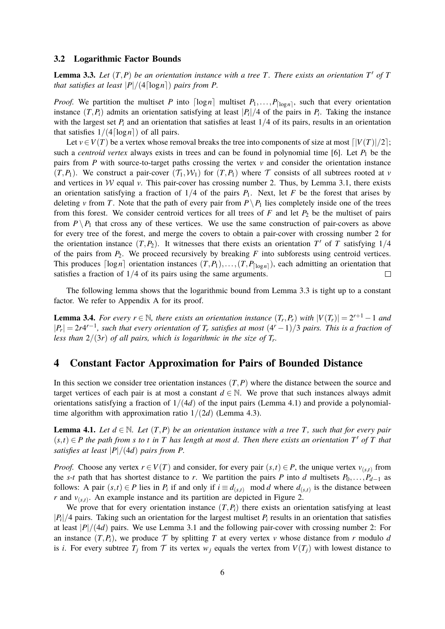#### **3.2 Logarithmic Factor Bounds**

<span id="page-5-1"></span>**Lemma 3.3.** Let  $(T, P)$  be an orientation instance with a tree T. There exists an orientation  $T'$  of T *that satisfies at least*  $|P|/(4 \lceil \log n \rceil)$  *pairs from P.* 

*Proof.* We partition the multiset *P* into  $\lceil \log n \rceil$  multiset  $P_1, \ldots, P_{\lceil \log n \rceil}$ , such that every orientation instance  $(T, P_i)$  admits an orientation satisfying at least  $|P_i|/4$  of the pairs in  $P_i$ . Taking the instance with the largest set  $P_i$  and an orientation that satisfies at least  $1/4$  of its pairs, results in an orientation that satisfies  $1/(4 \lceil \log n \rceil)$  of all pairs.

Let  $v \in V(T)$  be a vertex whose removal breaks the tree into components of size at most  $\lceil |V(T)|/2 \rceil$ ; such a *centroid vertex* always exists in trees and can be found in polynomial time [\[6\]](#page-12-9). Let  $P_1$  be the pairs from  $P$  with source-to-target paths crossing the vertex  $v$  and consider the orientation instance  $(T, P_1)$ . We construct a pair-cover  $(T_1, W_1)$  for  $(T, P_1)$  where T consists of all subtrees rooted at *v* and vertices in  $W$  equal  $v$ . This pair-cover has crossing number 2. Thus, by Lemma [3.1,](#page-3-1) there exists an orientation satisfying a fraction of  $1/4$  of the pairs  $P_1$ . Next, let *F* be the forest that arises by deleting *v* from *T*. Note that the path of every pair from  $P \setminus P_1$  lies completely inside one of the trees from this forest. We consider centroid vertices for all trees of  $F$  and let  $P_2$  be the multiset of pairs from  $P \setminus P_1$  that cross any of these vertices. We use the same construction of pair-covers as above for every tree of the forest, and merge the covers to obtain a pair-cover with crossing number 2 for the orientation instance  $(T, P_2)$ . It witnesses that there exists an orientation  $T'$  of  $T$  satisfying  $1/4$ of the pairs from  $P_2$ . We proceed recursively by breaking  $F$  into subforests using centroid vertices. This produces  $\lceil \log n \rceil$  orientation instances  $(T, P_1), \ldots, (T, P_{\lceil \log n \rceil})$ , each admitting an orientation that satisfies a fraction of 1/4 of its pairs using the same arguments.  $\Box$ 

The following lemma shows that the logarithmic bound from Lemma [3.3](#page-5-1) is tight up to a constant factor. We refer to Appendix [A](#page-13-6) for its proof.

<span id="page-5-3"></span>**Lemma 3.4.** For every  $r \in \mathbb{N}$ , there exists an orientation instance  $(T_r, P_r)$  with  $|V(T_r)| = 2^{r+1} - 1$  and  $|P_r| = 2r4^{r-1}$ , such that every orientation of  $T_r$  satisfies at most  $(4^r - 1)/3$  pairs. This is a fraction of *less than* 2/(3*r*) *of all pairs, which is logarithmic in the size of T<sup>r</sup> .*

### <span id="page-5-0"></span>**4 Constant Factor Approximation for Pairs of Bounded Distance**

In this section we consider tree orientation instances  $(T, P)$  where the distance between the source and target vertices of each pair is at most a constant  $d \in \mathbb{N}$ . We prove that such instances always admit orientations satisfying a fraction of  $1/(4d)$  of the input pairs (Lemma [4.1\)](#page-5-2) and provide a polynomialtime algorithm with approximation ratio  $1/(2d)$  (Lemma [4.3\)](#page-6-0).

<span id="page-5-2"></span>**Lemma 4.1.** *Let*  $d \in \mathbb{N}$ *. Let*  $(T, P)$  *be an orientation instance with a tree T, such that for every pair*  $(s,t) \in P$  *the path from s to t in T has length at most d. Then there exists an orientation*  $T'$  *of T that satisfies at least*  $|P|/(4d)$  *pairs from P.* 

*Proof.* Choose any vertex  $r \in V(T)$  and consider, for every pair  $(s,t) \in P$ , the unique vertex  $v_{(s,t)}$  from the *s*-*t* path that has shortest distance to *r*. We partition the pairs *P* into *d* multisets  $P_0, \ldots, P_{d-1}$  as follows: A pair  $(s,t) \in P$  lies in  $P_i$  if and only if  $i \equiv d_{(s,t)}$  mod *d* where  $d_{(s,t)}$  is the distance between *r* and  $v_{(s,t)}$ . An example instance and its partition are depicted in Figure [2.](#page-6-1)

We prove that for every orientation instance  $(T, P_i)$  there exists an orientation satisfying at least  $|P_i|/4$  pairs. Taking such an orientation for the largest multiset  $P_i$  results in an orientation that satisfies at least  $|P|/(4d)$  pairs. We use Lemma [3.1](#page-3-1) and the following pair-cover with crossing number 2: For an instance  $(T, P_i)$ , we produce  $T$  by splitting  $T$  at every vertex  $\nu$  whose distance from  $r$  modulo  $d$ is *i*. For every subtree  $T_i$  from  $\mathcal T$  its vertex  $w_i$  equals the vertex from  $V(T_i)$  with lowest distance to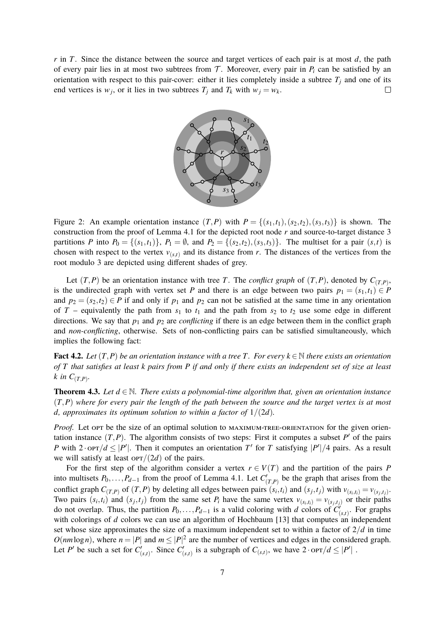*r* in *T*. Since the distance between the source and target vertices of each pair is at most *d*, the path of every pair lies in at most two subtrees from  $\mathcal T$ . Moreover, every pair in  $P_i$  can be satisfied by an orientation with respect to this pair-cover: either it lies completely inside a subtree  $T_i$  and one of its end vertices is  $w_j$ , or it lies in two subtrees  $T_j$  and  $T_k$  with  $w_j = w_k$ .  $\Box$ 



<span id="page-6-1"></span>Figure 2: An example orientation instance  $(T, P)$  with  $P = \{(s_1, t_1), (s_2, t_2), (s_3, t_3)\}\$ is shown. The construction from the proof of Lemma [4.1](#page-5-2) for the depicted root node *r* and source-to-target distance 3 partitions *P* into  $P_0 = \{(s_1, t_1)\}\$ ,  $P_1 = \emptyset$ , and  $P_2 = \{(s_2, t_2), (s_3, t_3)\}\$ . The multiset for a pair  $(s, t)$  is chosen with respect to the vertex  $v_{(s,t)}$  and its distance from *r*. The distances of the vertices from the root modulo 3 are depicted using different shades of grey.

Let  $(T, P)$  be an orientation instance with tree *T*. The *conflict graph* of  $(T, P)$ , denoted by  $C_{(T,P)}$ , is the undirected graph with vertex set *P* and there is an edge between two pairs  $p_1 = (s_1, t_1) \in P$ and  $p_2 = (s_2, t_2) \in P$  if and only if  $p_1$  and  $p_2$  can not be satisfied at the same time in any orientation of *T* – equivalently the path from  $s_1$  to  $t_1$  and the path from  $s_2$  to  $t_2$  use some edge in different directions. We say that  $p_1$  and  $p_2$  are *conflicting* if there is an edge between them in the conflict graph and *non-conflicting*, otherwise. Sets of non-conflicting pairs can be satisfied simultaneously, which implies the following fact:

**Fact 4.2.** *Let*  $(T, P)$  *be an orientation instance with a tree*  $T$ *. For every*  $k \in \mathbb{N}$  *there exists an orientation of T that satisfies at least k pairs from P if and only if there exists an independent set of size at least*  $k$  *in*  $C_{(T,P)}$ .

<span id="page-6-0"></span>**Theorem 4.3.** Let  $d \in \mathbb{N}$ . There exists a polynomial-time algorithm that, given an orientation instance (*T*,*P*) *where for every pair the length of the path between the source and the target vertex is at most d*, approximates its optimum solution to within a factor of  $1/(2d)$ .

*Proof.* Let opt be the size of an optimal solution to MAXIMUM-TREE-ORIENTATION for the given orientation instance  $(T, P)$ . The algorithm consists of two steps: First it computes a subset  $P'$  of the pairs *P* with  $2 \cdot \text{OPT}/d \leq |P'|$ . Then it computes an orientation *T'* for *T* satisfying  $|P'|/4$  pairs. As a result we will satisfy at least  $\text{OPT}/(2d)$  of the pairs.

For the first step of the algorithm consider a vertex  $r \in V(T)$  and the partition of the pairs *P* into multisets  $P_0, \ldots, P_{d-1}$  from the proof of Lemma [4.1.](#page-5-2) Let  $C'_{(T,P)}$  be the graph that arises from the conflict graph  $C_{(T,P)}$  of  $(T,P)$  by deleting all edges between pairs  $(s_i,t_i)$  and  $(s_j,t_j)$  with  $v_{(s_i,t_i)} = v_{(s_j,t_j)}$ . Two pairs  $(s_i,t_i)$  and  $(s_j,t_j)$  from the same set  $P_i$  have the same vertex  $v_{(s_i,t_i)} = v_{(s_j,t_j)}$  or their paths do not overlap. Thus, the partition  $P_0, \ldots, P_{d-1}$  is a valid coloring with *d* colors of  $C'_{(s,t)}$ . For graphs with colorings of *d* colors we can use an algorithm of Hochbaum [\[13\]](#page-12-10) that computes an independent set whose size approximates the size of a maximum independent set to within a factor of  $2/d$  in time  $O(nm \log n)$ , where  $n = |P|$  and  $m \leq |P|^2$  are the number of vertices and edges in the considered graph. Let *P*<sup> $\prime$ </sup> be such a set for  $C'_{(s,t)}$ . Since  $C'_{(s,t)}$  is a subgraph of  $C_{(s,t)}$ , we have  $2 \cdot \text{OPT}/d \leq |P'|$ .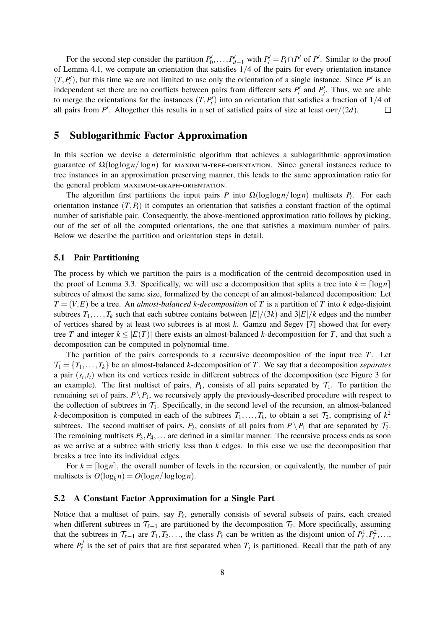For the second step consider the partition  $P'_0, \ldots, P'_{d-1}$  with  $P'_i = P_i \cap P'$  of  $P'$ . Similar to the proof of Lemma [4.1,](#page-5-2) we compute an orientation that satisfies 1/4 of the pairs for every orientation instance  $(T, P'_i)$ , but this time we are not limited to use only the orientation of a single instance. Since  $P'$  is an independent set there are no conflicts between pairs from different sets  $P_i'$  and  $P_j'$ . Thus, we are able to merge the orientations for the instances  $(T, P_i')$  into an orientation that satisfies a fraction of  $1/4$  of all pairs from  $P'$ . Altogether this results in a set of satisfied pairs of size at least or $T/(2d)$ .  $\Box$ 

### <span id="page-7-0"></span>**5 Sublogarithmic Factor Approximation**

In this section we devise a deterministic algorithm that achieves a sublogarithmic approximation guarantee of  $\Omega(\log \log n / \log n)$  for MAXIMUM-TREE-ORIENTATION. Since general instances reduce to tree instances in an approximation preserving manner, this leads to the same approximation ratio for the general problem maximum-graph-orientation.

The algorithm first partitions the input pairs *P* into  $\Omega(\log \log n / \log n)$  multisets *P<sub>i</sub>*. For each orientation instance  $(T, P_i)$  it computes an orientation that satisfies a constant fraction of the optimal number of satisfiable pair. Consequently, the above-mentioned approximation ratio follows by picking, out of the set of all the computed orientations, the one that satisfies a maximum number of pairs. Below we describe the partition and orientation steps in detail.

#### **5.1 Pair Partitioning**

The process by which we partition the pairs is a modification of the centroid decomposition used in the proof of Lemma [3.3.](#page-5-1) Specifically, we will use a decomposition that splits a tree into  $k = \lceil \log n \rceil$ subtrees of almost the same size, formalized by the concept of an almost-balanced decomposition: Let  $T = (V, E)$  be a tree. An *almost-balanced k*-decomposition of *T* is a partition of *T* into *k* edge-disjoint subtrees  $T_1, \ldots, T_k$  such that each subtree contains between  $|E|/(3k)$  and  $3|E|/k$  edges and the number of vertices shared by at least two subtrees is at most *k*. Gamzu and Segev [\[7\]](#page-12-11) showed that for every tree *T* and integer  $k \leq |E(T)|$  there exists an almost-balanced *k*-decomposition for *T*, and that such a decomposition can be computed in polynomial-time.

The partition of the pairs corresponds to a recursive decomposition of the input tree *T*. Let  $\mathcal{T}_1 = \{T_1, \ldots, T_k\}$  be an almost-balanced *k*-decomposition of *T*. We say that a decomposition *separates* a pair  $(s_i, t_i)$  when its end vertices reside in different subtrees of the decomposition (see Figure [3](#page-8-0) for an example). The first multiset of pairs,  $P_1$ , consists of all pairs separated by  $T_1$ . To partition the remaining set of pairs,  $P \setminus P_1$ , we recursively apply the previously-described procedure with respect to the collection of subtrees in  $\mathcal{T}_1$ . Specifically, in the second level of the recursion, an almost-balanced *k*-decomposition is computed in each of the subtrees  $T_1, \ldots, T_k$ , to obtain a set  $\mathcal{T}_2$ , comprising of  $k^2$ subtrees. The second multiset of pairs,  $P_2$ , consists of all pairs from  $P \setminus P_1$  that are separated by  $\mathcal{T}_2$ . The remaining multisets *P*3,*P*4,... are defined in a similar manner. The recursive process ends as soon as we arrive at a subtree with strictly less than *k* edges. In this case we use the decomposition that breaks a tree into its individual edges.

For  $k = \lceil \log n \rceil$ , the overall number of levels in the recursion, or equivalently, the number of pair multisets is  $O(\log_k n) = O(\log n / \log \log n)$ .

#### **5.2 A Constant Factor Approximation for a Single Part**

Notice that a multiset of pairs, say  $P_\ell$ , generally consists of several subsets of pairs, each created when different subtrees in  $\mathcal{T}_{\ell-1}$  are partitioned by the decomposition  $\mathcal{T}_{\ell}$ . More specifically, assuming that the subtrees in  $\mathcal{T}_{\ell-1}$  are  $T_1, T_2, \ldots$ , the class  $P_\ell$  can be written as the disjoint union of  $P_\ell^1, P_\ell^2, \ldots$ , where  $P_{\ell}^{j}$  $\mathbf{F}_{\ell}^{j}$  is the set of pairs that are first separated when  $T_j$  is partitioned. Recall that the path of any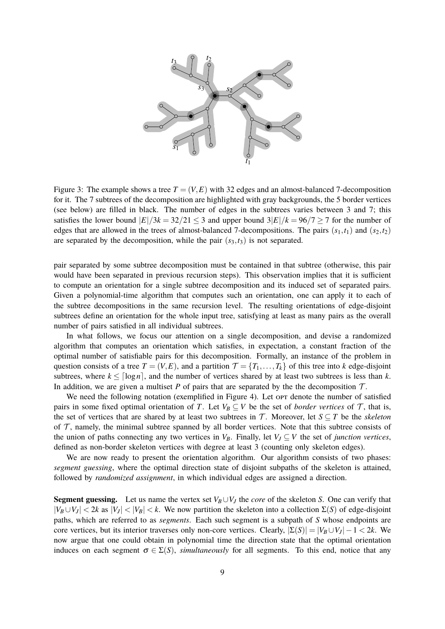

<span id="page-8-0"></span>Figure 3: The example shows a tree  $T = (V, E)$  with 32 edges and an almost-balanced 7-decomposition for it. The 7 subtrees of the decomposition are highlighted with gray backgrounds, the 5 border vertices (see below) are filled in black. The number of edges in the subtrees varies between 3 and 7; this satisfies the lower bound  $|E|/3k = 32/21 \leq 3$  and upper bound  $3|E|/k = 96/7 \geq 7$  for the number of edges that are allowed in the trees of almost-balanced 7-decompositions. The pairs  $(s_1, t_1)$  and  $(s_2, t_2)$ are separated by the decomposition, while the pair  $(s_3, t_3)$  is not separated.

pair separated by some subtree decomposition must be contained in that subtree (otherwise, this pair would have been separated in previous recursion steps). This observation implies that it is sufficient to compute an orientation for a single subtree decomposition and its induced set of separated pairs. Given a polynomial-time algorithm that computes such an orientation, one can apply it to each of the subtree decompositions in the same recursion level. The resulting orientations of edge-disjoint subtrees define an orientation for the whole input tree, satisfying at least as many pairs as the overall number of pairs satisfied in all individual subtrees.

In what follows, we focus our attention on a single decomposition, and devise a randomized algorithm that computes an orientation which satisfies, in expectation, a constant fraction of the optimal number of satisfiable pairs for this decomposition. Formally, an instance of the problem in question consists of a tree  $T = (V, E)$ , and a partition  $\mathcal{T} = \{T_1, \ldots, T_k\}$  of this tree into *k* edge-disjoint subtrees, where  $k \leq \lceil \log n \rceil$ , and the number of vertices shared by at least two subtrees is less than *k*. In addition, we are given a multiset  $P$  of pairs that are separated by the the decomposition  $T$ .

We need the following notation (exemplified in Figure [4\)](#page-9-0). Let opt denote the number of satisfied pairs in some fixed optimal orientation of *T*. Let  $V_B \subseteq V$  be the set of *border vertices* of  $T$ , that is, the set of vertices that are shared by at least two subtrees in  $\mathcal{T}$ . Moreover, let  $S \subseteq T$  be the *skeleton* of  $\mathcal T$ , namely, the minimal subtree spanned by all border vertices. Note that this subtree consists of the union of paths connecting any two vertices in  $V_B$ . Finally, let  $V_J \subseteq V$  the set of *junction vertices*, defined as non-border skeleton vertices with degree at least 3 (counting only skeleton edges).

We are now ready to present the orientation algorithm. Our algorithm consists of two phases: *segment guessing*, where the optimal direction state of disjoint subpaths of the skeleton is attained, followed by *randomized assignment*, in which individual edges are assigned a direction.

**Segment guessing.** Let us name the vertex set  $V_B \cup V_J$  the *core* of the skeleton *S*. One can verify that  $|V_B \cup V_J|$  < 2*k* as  $|V_J|$  <  $|V_B|$  < *k*. We now partition the skeleton into a collection  $\Sigma(S)$  of edge-disjoint paths, which are referred to as *segments*. Each such segment is a subpath of *S* whose endpoints are core vertices, but its interior traverses only non-core vertices. Clearly,  $|\Sigma(S)| = |V_B \cup V_J| - 1 < 2k$ . We now argue that one could obtain in polynomial time the direction state that the optimal orientation induces on each segment  $\sigma \in \Sigma(S)$ , *simultaneously* for all segments. To this end, notice that any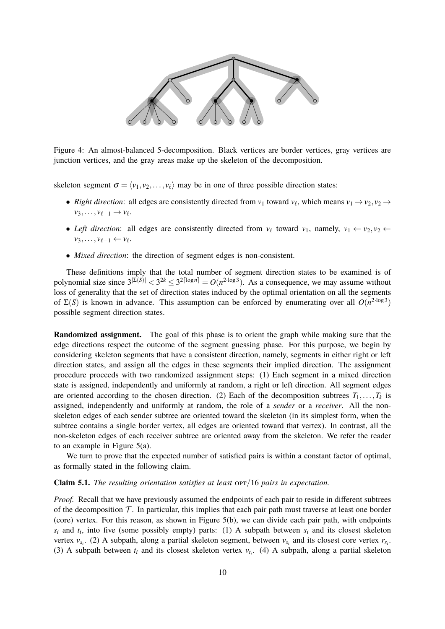

<span id="page-9-0"></span>Figure 4: An almost-balanced 5-decomposition. Black vertices are border vertices, gray vertices are junction vertices, and the gray areas make up the skeleton of the decomposition.

skeleton segment  $\sigma = \langle v_1, v_2, \dots, v_\ell \rangle$  may be in one of three possible direction states:

- *Right direction*: all edges are consistently directed from  $v_1$  toward  $v_\ell$ , which means  $v_1 \to v_2, v_2 \to v_1$  $v_3, \ldots, v_{\ell-1} \to v_{\ell}$ .
- Left direction: all edges are consistently directed from  $v_\ell$  toward  $v_1$ , namely,  $v_1 \leftarrow v_2, v_2 \leftarrow$  $v_3, \ldots, v_{\ell-1} \leftarrow v_{\ell}.$
- *Mixed direction*: the direction of segment edges is non-consistent.

These definitions imply that the total number of segment direction states to be examined is of polynomial size since  $3^{\vert \Sigma(S) \vert} < 3^{2k} \leq 3^{2\lceil \log n \rceil} = O(n^{2 \cdot \log 3})$ . As a consequence, we may assume without loss of generality that the set of direction states induced by the optimal orientation on all the segments of  $\Sigma(S)$  is known in advance. This assumption can be enforced by enumerating over all  $O(n^{2 \cdot \log 3})$ possible segment direction states.

**Randomized assignment.** The goal of this phase is to orient the graph while making sure that the edge directions respect the outcome of the segment guessing phase. For this purpose, we begin by considering skeleton segments that have a consistent direction, namely, segments in either right or left direction states, and assign all the edges in these segments their implied direction. The assignment procedure proceeds with two randomized assignment steps: (1) Each segment in a mixed direction state is assigned, independently and uniformly at random, a right or left direction. All segment edges are oriented according to the chosen direction. (2) Each of the decomposition subtrees  $T_1, \ldots, T_k$  is assigned, independently and uniformly at random, the role of a *sender* or a *receiver*. All the nonskeleton edges of each sender subtree are oriented toward the skeleton (in its simplest form, when the subtree contains a single border vertex, all edges are oriented toward that vertex). In contrast, all the non-skeleton edges of each receiver subtree are oriented away from the skeleton. We refer the reader to an example in Figure [5\(](#page-10-0)a).

We turn to prove that the expected number of satisfied pairs is within a constant factor of optimal, as formally stated in the following claim.

#### **Claim 5.1.** *The resulting orientation satisfies at least orr/16 pairs in expectation.*

*Proof.* Recall that we have previously assumed the endpoints of each pair to reside in different subtrees of the decomposition  $T$ . In particular, this implies that each pair path must traverse at least one border (core) vertex. For this reason, as shown in Figure [5\(](#page-10-0)b), we can divide each pair path, with endpoints  $s_i$  and  $t_i$ , into five (some possibly empty) parts: (1) A subpath between  $s_i$  and its closest skeleton vertex  $v_{s_i}$ . (2) A subpath, along a partial skeleton segment, between  $v_{s_i}$  and its closest core vertex  $r_{s_i}$ . (3) A subpath between  $t_i$  and its closest skeleton vertex  $v_{t_i}$ . (4) A subpath, along a partial skeleton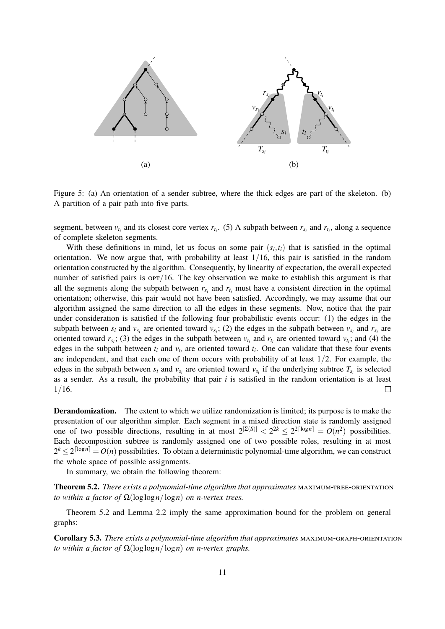

<span id="page-10-0"></span>Figure 5: (a) An orientation of a sender subtree, where the thick edges are part of the skeleton. (b) A partition of a pair path into five parts.

segment, between  $v_{t_i}$  and its closest core vertex  $r_{t_i}$ . (5) A subpath between  $r_{s_i}$  and  $r_{t_i}$ , along a sequence of complete skeleton segments.

With these definitions in mind, let us focus on some pair  $(s_i, t_i)$  that is satisfied in the optimal orientation. We now argue that, with probability at least  $1/16$ , this pair is satisfied in the random orientation constructed by the algorithm. Consequently, by linearity of expectation, the overall expected number of satisfied pairs is  $\text{OPT}/16$ . The key observation we make to establish this argument is that all the segments along the subpath between  $r_{s_i}$  and  $r_{t_i}$  must have a consistent direction in the optimal orientation; otherwise, this pair would not have been satisfied. Accordingly, we may assume that our algorithm assigned the same direction to all the edges in these segments. Now, notice that the pair under consideration is satisfied if the following four probabilistic events occur: (1) the edges in the subpath between  $s_i$  and  $v_{s_i}$  are oriented toward  $v_{s_i}$ ; (2) the edges in the subpath between  $v_{s_i}$  and  $r_{s_i}$  are oriented toward  $r_{s_i}$ ; (3) the edges in the subpath between  $v_{t_i}$  and  $r_{t_i}$  are oriented toward  $v_{t_i}$ ; and (4) the edges in the subpath between  $t_i$  and  $v_{t_i}$  are oriented toward  $t_i$ . One can validate that these four events are independent, and that each one of them occurs with probability of at least 1/2. For example, the edges in the subpath between  $s_i$  and  $v_{s_i}$  are oriented toward  $v_{s_i}$  if the underlying subtree  $T_{s_i}$  is selected as a sender. As a result, the probability that pair *i* is satisfied in the random orientation is at least  $1/16$ .  $\Box$ 

**Derandomization.** The extent to which we utilize randomization is limited; its purpose is to make the presentation of our algorithm simpler. Each segment in a mixed direction state is randomly assigned one of two possible directions, resulting in at most  $2^{\vert \Sigma(S) \vert} < 2^{2k} \leq 2^{2\lceil \log n \rceil} = O(n^2)$  possibilities. Each decomposition subtree is randomly assigned one of two possible roles, resulting in at most  $2^k \leq 2^{\lceil \log n \rceil} = O(n)$  possibilities. To obtain a deterministic polynomial-time algorithm, we can construct the whole space of possible assignments.

In summary, we obtain the following theorem:

<span id="page-10-1"></span>**Theorem 5.2.** *There exists a polynomial-time algorithm that approximates* maximum-tree-orientation *to within a factor of* Ω(loglog*n*/log*n*) *on n-vertex trees.*

Theorem [5.2](#page-10-1) and Lemma [2.2](#page-2-0) imply the same approximation bound for the problem on general graphs:

**Corollary 5.3.** *There exists a polynomial-time algorithm that approximates* maximum-graph-orientation *to within a factor of*  $\Omega(\log \log n / \log n)$  *on n-vertex graphs.*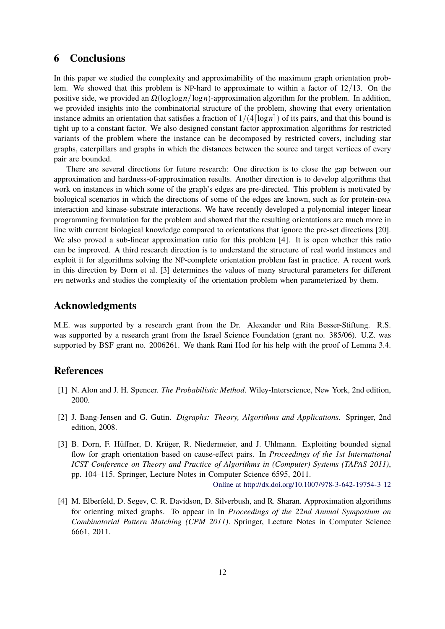### **6 Conclusions**

In this paper we studied the complexity and approximability of the maximum graph orientation problem. We showed that this problem is NP-hard to approximate to within a factor of  $12/13$ . On the positive side, we provided an Ω(loglog*n*/log*n*)-approximation algorithm for the problem. In addition, we provided insights into the combinatorial structure of the problem, showing that every orientation instance admits an orientation that satisfies a fraction of  $1/(4 \lceil \log n \rceil)$  of its pairs, and that this bound is tight up to a constant factor. We also designed constant factor approximation algorithms for restricted variants of the problem where the instance can be decomposed by restricted covers, including star graphs, caterpillars and graphs in which the distances between the source and target vertices of every pair are bounded.

There are several directions for future research: One direction is to close the gap between our approximation and hardness-of-approximation results. Another direction is to develop algorithms that work on instances in which some of the graph's edges are pre-directed. This problem is motivated by biological scenarios in which the directions of some of the edges are known, such as for protein-DNA interaction and kinase-substrate interactions. We have recently developed a polynomial integer linear programming formulation for the problem and showed that the resulting orientations are much more in line with current biological knowledge compared to orientations that ignore the pre-set directions [\[20\]](#page-13-7). We also proved a sub-linear approximation ratio for this problem [\[4\]](#page-11-3). It is open whether this ratio can be improved. A third research direction is to understand the structure of real world instances and exploit it for algorithms solving the NP-complete orientation problem fast in practice. A recent work in this direction by Dorn et al. [\[3\]](#page-11-1) determines the values of many structural parameters for different ppi networks and studies the complexity of the orientation problem when parameterized by them.

### **Acknowledgments**

M.E. was supported by a research grant from the Dr. Alexander und Rita Besser-Stiftung. R.S. was supported by a research grant from the Israel Science Foundation (grant no. 385/06). U.Z. was supported by BSF grant no. 2006261. We thank Rani Hod for his help with the proof of Lemma [3.4.](#page-5-3)

### **References**

- <span id="page-11-2"></span>[1] N. Alon and J. H. Spencer. *The Probabilistic Method*. Wiley-Interscience, New York, 2nd edition, 2000.
- <span id="page-11-0"></span>[2] J. Bang-Jensen and G. Gutin. *Digraphs: Theory, Algorithms and Applications*. Springer, 2nd edition, 2008.
- <span id="page-11-1"></span>[3] B. Dorn, F. Hüffner, D. Krüger, R. Niedermeier, and J. Uhlmann. Exploiting bounded signal flow for graph orientation based on cause-effect pairs. In *Proceedings of the 1st International ICST Conference on Theory and Practice of Algorithms in (Computer) Systems (TAPAS 2011)*, pp. 104–115. Springer, Lecture Notes in Computer Science 6595, 2011.

Online at [http://dx.doi.org/10.1007/978-3-642-19754-3](http://dx.doi.org/10.1007/978-3-642-19754-3_12) 12

<span id="page-11-3"></span>[4] M. Elberfeld, D. Segev, C. R. Davidson, D. Silverbush, and R. Sharan. Approximation algorithms for orienting mixed graphs. To appear in In *Proceedings of the 22nd Annual Symposium on Combinatorial Pattern Matching (CPM 2011)*. Springer, Lecture Notes in Computer Science 6661, 2011.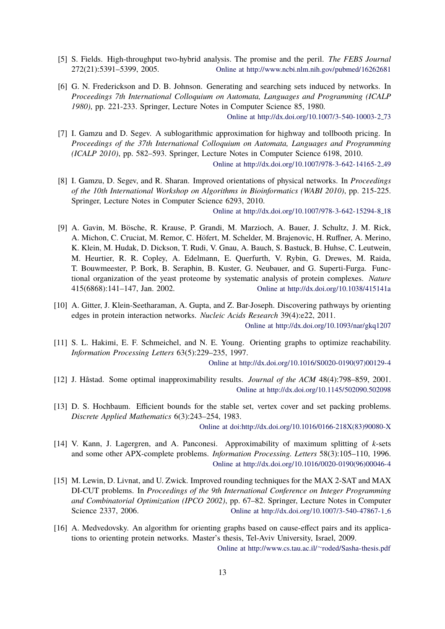- <span id="page-12-0"></span>[5] S. Fields. High-throughput two-hybrid analysis. The promise and the peril. *The FEBS Journal* 272(21):5391–5399, 2005. Online at<http://www.ncbi.nlm.nih.gov/pubmed/16262681>
- <span id="page-12-9"></span>[6] G. N. Frederickson and D. B. Johnson. Generating and searching sets induced by networks. In *Proceedings 7th International Colloquium on Automata, Languages and Programming (ICALP 1980)*, pp. 221-233. Springer, Lecture Notes in Computer Science 85, 1980.

Online at [http://dx.doi.org/10.1007/3-540-10003-2](http://dx.doi.org/10.1007/3-540-10003-2_73) 73

- <span id="page-12-11"></span>[7] I. Gamzu and D. Segev. A sublogarithmic approximation for highway and tollbooth pricing. In *Proceedings of the 37th International Colloquium on Automata, Languages and Programming (ICALP 2010)*, pp. 582–593. Springer, Lecture Notes in Computer Science 6198, 2010. Online at [http://dx.doi.org/10.1007/978-3-642-14165-2](http://dx.doi.org/10.1007/978-3-642-14165-2_49) 49
- <span id="page-12-2"></span>[8] I. Gamzu, D. Segev, and R. Sharan. Improved orientations of physical networks. In *Proceedings of the 10th International Workshop on Algorithms in Bioinformatics (WABI 2010)*, pp. 215-225. Springer, Lecture Notes in Computer Science 6293, 2010.

Online at [http://dx.doi.org/10.1007/978-3-642-15294-8](http://dx.doi.org/10.1007/978-3-642-15294-8_18) 18

- <span id="page-12-1"></span>[9] A. Gavin, M. Bösche, R. Krause, P. Grandi, M. Marzioch, A. Bauer, J. Schultz, J. M. Rick, A. Michon, C. Cruciat, M. Remor, C. Hofert, M. Schelder, M. Brajenovic, H. Ruffner, A. Merino, ¨ K. Klein, M. Hudak, D. Dickson, T. Rudi, V. Gnau, A. Bauch, S. Bastuck, B. Huhse, C. Leutwein, M. Heurtier, R. R. Copley, A. Edelmann, E. Querfurth, V. Rybin, G. Drewes, M. Raida, T. Bouwmeester, P. Bork, B. Seraphin, B. Kuster, G. Neubauer, and G. Superti-Furga. Functional organization of the yeast proteome by systematic analysis of protein complexes. *Nature* 415(6868):141–147, Jan. 2002. Online at<http://dx.doi.org/10.1038/415141a>
- <span id="page-12-4"></span>[10] A. Gitter, J. Klein-Seetharaman, A. Gupta, and Z. Bar-Joseph. Discovering pathways by orienting edges in protein interaction networks. *Nucleic Acids Research* 39(4):e22, 2011.

Online at<http://dx.doi.org/10.1093/nar/gkq1207>

<span id="page-12-3"></span>[11] S. L. Hakimi, E. F. Schmeichel, and N. E. Young. Orienting graphs to optimize reachability. *Information Processing Letters* 63(5):229–235, 1997.

Online at [http://dx.doi.org/10.1016/S0020-0190\(97\)00129-4](http://dx.doi.org/10.1016/S0020-0190(97)00129-4)

- <span id="page-12-6"></span>[12] J. Håstad. Some optimal inapproximability results. *Journal of the ACM* 48(4):798–859, 2001. Online at<http://dx.doi.org/10.1145/502090.502098>
- <span id="page-12-10"></span>[13] D. S. Hochbaum. Efficient bounds for the stable set, vertex cover and set packing problems. *Discrete Applied Mathematics* 6(3):243–254, 1983.

Online at [doi:http://dx.doi.org/10.1016/0166-218X\(83\)90080-X](http://dx.doi.org/http://dx.doi.org/10.1016/0166-218X(83)90080-X)

- <span id="page-12-5"></span>[14] V. Kann, J. Lagergren, and A. Panconesi. Approximability of maximum splitting of *k*-sets and some other APX-complete problems. *Information Processing. Letters* 58(3):105–110, 1996. Online at [http://dx.doi.org/10.1016/0020-0190\(96\)00046-4](http://dx.doi.org/10.1016/0020-0190(96)00046-4)
- <span id="page-12-8"></span>[15] M. Lewin, D. Livnat, and U. Zwick. Improved rounding techniques for the MAX 2-SAT and MAX DI-CUT problems. In *Proceedings of the 9th International Conference on Integer Programming and Combinatorial Optimization (IPCO 2002)*, pp. 67–82. Springer, Lecture Notes in Computer Science 2337, 2006. Combine at [http://dx.doi.org/10.1007/3-540-47867-1](http://dx.doi.org/10.1007/3-540-47867-1_6).6
- <span id="page-12-7"></span>[16] A. Medvedovsky. An algorithm for orienting graphs based on cause-effect pairs and its applications to orienting protein networks. Master's thesis, Tel-Aviv University, Israel, 2009.

Online at [http://www.cs.tau.ac.il/](http://www.cs.tau.ac.il/~roded/Sasha-thesis.pdf)∼roded/Sasha-thesis.pdf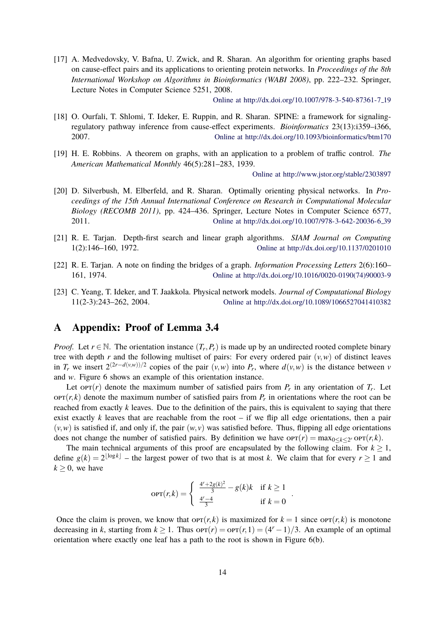<span id="page-13-0"></span>[17] A. Medvedovsky, V. Bafna, U. Zwick, and R. Sharan. An algorithm for orienting graphs based on cause-effect pairs and its applications to orienting protein networks. In *Proceedings of the 8th International Workshop on Algorithms in Bioinformatics (WABI 2008)*, pp. 222–232. Springer, Lecture Notes in Computer Science 5251, 2008.

Online at [http://dx.doi.org/10.1007/978-3-540-87361-7](http://dx.doi.org/10.1007/978-3-540-87361-7_19) 19

- <span id="page-13-3"></span>[18] O. Ourfali, T. Shlomi, T. Ideker, E. Ruppin, and R. Sharan. SPINE: a framework for signalingregulatory pathway inference from cause-effect experiments. *Bioinformatics* 23(13):i359–i366, 2007. Online at<http://dx.doi.org/10.1093/bioinformatics/btm170>
- <span id="page-13-1"></span>[19] H. E. Robbins. A theorem on graphs, with an application to a problem of traffic control. *The American Mathematical Monthly* 46(5):281–283, 1939.

Online at<http://www.jstor.org/stable/2303897>

- <span id="page-13-7"></span>[20] D. Silverbush, M. Elberfeld, and R. Sharan. Optimally orienting physical networks. In *Proceedings of the 15th Annual International Conference on Research in Computational Molecular Biology (RECOMB 2011)*, pp. 424–436. Springer, Lecture Notes in Computer Science 6577, 2011. Online at [http://dx.doi.org/10.1007/978-3-642-20036-6](http://dx.doi.org/10.1007/978-3-642-20036-6_39) 39
- <span id="page-13-4"></span>[21] R. E. Tarjan. Depth-first search and linear graph algorithms. *SIAM Journal on Computing* 1(2):146–160, 1972. Online at<http://dx.doi.org/10.1137/0201010>
- <span id="page-13-5"></span>[22] R. E. Tarjan. A note on finding the bridges of a graph. *Information Processing Letters* 2(6):160– 161, 1974. Online at [http://dx.doi.org/10.1016/0020-0190\(74\)90003-9](http://dx.doi.org/10.1016/0020-0190(74)90003-9)
- <span id="page-13-2"></span>[23] C. Yeang, T. Ideker, and T. Jaakkola. Physical network models. *Journal of Computational Biology* 11(2-3):243–262, 2004. Online at<http://dx.doi.org/10.1089/1066527041410382>

### <span id="page-13-6"></span>**A Appendix: Proof of Lemma [3.4](#page-5-3)**

*Proof.* Let  $r \in \mathbb{N}$ . The orientation instance  $(T_r, P_r)$  is made up by an undirected rooted complete binary tree with depth *r* and the following multiset of pairs: For every ordered pair  $(v, w)$  of distinct leaves in  $T_r$  we insert  $2^{(2r-d(v,w))/2}$  copies of the pair  $(v, w)$  into  $P_r$ , where  $d(v, w)$  is the distance between *v* and *w*. Figure [6](#page-14-0) shows an example of this orientation instance.

Let or $r(r)$  denote the maximum number of satisfied pairs from  $P_r$  in any orientation of  $T_r$ . Let  $\text{OPT}(r, k)$  denote the maximum number of satisfied pairs from  $P_r$  in orientations where the root can be reached from exactly *k* leaves. Due to the definition of the pairs, this is equivalent to saying that there exist exactly  $k$  leaves that are reachable from the root – if we flip all edge orientations, then a pair  $(v, w)$  is satisfied if, and only if, the pair  $(w, v)$  was satisfied before. Thus, flipping all edge orientations does not change the number of satisfied pairs. By definition we have  $\text{OPT}(r) = \max_{0 \leq k \leq 2^r} \text{OPT}(r, k)$ .

The main technical arguments of this proof are encapsulated by the following claim. For  $k \ge 1$ , define  $g(k) = 2^{\lfloor \log k \rfloor}$  – the largest power of two that is at most *k*. We claim that for every  $r \ge 1$  and  $k \geq 0$ , we have

$$
OPT(r,k) = \begin{cases} \frac{4^r + 2g(k)^2}{3} - g(k)k & \text{if } k \ge 1\\ \frac{4^r - 4}{3} & \text{if } k = 0 \end{cases}
$$

.

Once the claim is proven, we know that  $\text{OPT}(r, k)$  is maximized for  $k = 1$  since  $\text{OPT}(r, k)$  is monotone decreasing in *k*, starting from  $k \ge 1$ . Thus opt $(r) = \text{OPT}(r, 1) = (4^r - 1)/3$ . An example of an optimal orientation where exactly one leaf has a path to the root is shown in Figure [6\(](#page-14-0)b).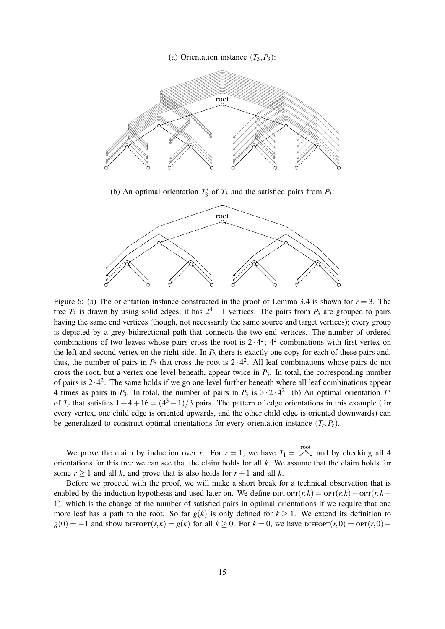



(b) An optimal orientation  $T_3'$  of  $T_3$  and the satisfied pairs from  $P_3$ :



<span id="page-14-0"></span>Figure 6: (a) The orientation instance constructed in the proof of Lemma [3.4](#page-5-3) is shown for  $r = 3$ . The tree  $T_3$  is drawn by using solid edges; it has  $2^4 - 1$  vertices. The pairs from  $P_3$  are grouped to pairs having the same end vertices (though, not necessarily the same source and target vertices); every group is depicted by a grey bidirectional path that connects the two end vertices. The number of ordered combinations of two leaves whose pairs cross the root is  $2 \cdot 4^2$ ;  $4^2$  combinations with first vertex on the left and second vertex on the right side. In  $P_3$  there is exactly one copy for each of these pairs and, thus, the number of pairs in  $P_3$  that cross the root is  $2 \cdot 4^2$ . All leaf combinations whose pairs do not cross the root, but a vertex one level beneath, appear twice in  $P_3$ . In total, the corresponding number of pairs is  $2 \cdot 4^2$ . The same holds if we go one level further beneath where all leaf combinations appear 4 times as pairs in  $P_3$ . In total, the number of pairs in  $P_3$  is  $3 \cdot 2 \cdot 4^2$ . (b) An optimal orientation  $T'$ of  $T_r$  that satisfies  $1+4+16 = (4^3-1)/3$  pairs. The pattern of edge orientations in this example (for every vertex, one child edge is oriented upwards, and the other child edge is oriented downwards) can be generalized to construct optimal orientations for every orientation instance  $(T_r, P_r)$ .

We prove the claim by induction over *r*. For  $r = 1$ , we have  $T_1 = e^{i\theta}$  and by checking all 4 orientations for this tree we can see that the claim holds for all *k*. We assume that the claim holds for some  $r \ge 1$  and all *k*, and prove that is also holds for  $r + 1$  and all *k*.

Before we proceed with the proof, we will make a short break for a technical observation that is enabled by the induction hypothesis and used later on. We define  $\text{DIFFor}(r, k) = \text{OPT}(r, k) - \text{OPT}(r, k)$ + 1), which is the change of the number of satisfied pairs in optimal orientations if we require that one more leaf has a path to the root. So far  $g(k)$  is only defined for  $k \ge 1$ . We extend its definition to  $g(0) = -1$  and show diffort(*r*, *k*) =  $g(k)$  for all  $k \ge 0$ . For  $k = 0$ , we have diffort(*r*, 0) = opt(*r*, 0) −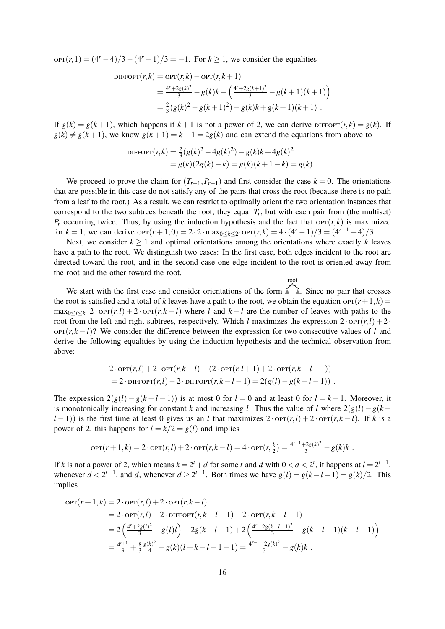$\text{OPT}(r,1) = (4^r - 4)/3 - (4^r - 1)/3 = -1$ . For  $k \ge 1$ , we consider the equalities

DIFFOPT(r,k) = OPT(r,k) – OPT(r,k+1)  
\n
$$
= \frac{4^r + 2g(k)^2}{3} - g(k)k - \left(\frac{4^r + 2g(k+1)^2}{3} - g(k+1)(k+1)\right)
$$
\n
$$
= \frac{2}{3}(g(k)^2 - g(k+1)^2) - g(k)k + g(k+1)(k+1).
$$

If  $g(k) = g(k+1)$ , which happens if  $k+1$  is not a power of 2, we can derive  $\text{DIFF}(r, k) = g(k)$ . If  $g(k) \neq g(k+1)$ , we know  $g(k+1) = k+1 = 2g(k)$  and can extend the equations from above to

DIFFOPT
$$
(r,k)
$$
 =  $\frac{2}{3}(g(k)^2 - 4g(k)^2) - g(k)k + 4g(k)^2$   
=  $g(k)(2g(k) - k) = g(k)(k + 1 - k) = g(k)$ .

We proceed to prove the claim for  $(T_{r+1}, P_{r+1})$  and first consider the case  $k = 0$ . The orientations that are possible in this case do not satisfy any of the pairs that cross the root (because there is no path from a leaf to the root.) As a result, we can restrict to optimally orient the two orientation instances that correspond to the two subtrees beneath the root; they equal  $T_r$ , but with each pair from (the multiset)  $P_r$  occurring twice. Thus, by using the induction hypothesis and the fact that opt $(r, k)$  is maximized for  $k = 1$ , we can derive  $\text{OPT}(r + 1, 0) = 2 \cdot 2 \cdot \max_{0 \le k \le 2^r} \text{OPT}(r, k) = 4 \cdot (4^r - 1)/3 = (4^{r+1} - 4)/3$ .

Next, we consider  $k \geq 1$  and optimal orientations among the orientations where exactly k leaves have a path to the root. We distinguish two cases: In the first case, both edges incident to the root are directed toward the root, and in the second case one edge incident to the root is oriented away from the root and the other toward the root. root

We start with the first case and consider orientations of the form  $\mathbb{X}^n$ . Since no pair that crosses the root is satisfied and a total of *k* leaves have a path to the root, we obtain the equation  $\text{OPT}(r+1, k)$  $\max_{0 \leq l \leq k} 2 \cdot \text{OPT}(r, l) + 2 \cdot \text{OPT}(r, k - l)$  where *l* and  $k - l$  are the number of leaves with paths to the root from the left and right subtrees, respectively. Which *l* maximizes the expression  $2 \cdot \text{OPT}(r, l) + 2 \cdot$  $\text{OPT}(r, k-l)$ ? We consider the difference between the expression for two consecutive values of *l* and derive the following equalities by using the induction hypothesis and the technical observation from above:

$$
2 \cdot \text{OPT}(r, l) + 2 \cdot \text{OPT}(r, k - l) - (2 \cdot \text{OPT}(r, l + 1) + 2 \cdot \text{OPT}(r, k - l - 1))
$$
  
= 2 \cdot \text{DIFFOPT}(r, l) - 2 \cdot \text{DIFFOPT}(r, k - l - 1) = 2(g(l) - g(k - l - 1))

The expression  $2(g(l) - g(k - l - 1))$  is at most 0 for  $l = 0$  and at least 0 for  $l = k - 1$ . Moreover, it is monotonically increasing for constant *k* and increasing *l*. Thus the value of *l* where  $2(g(l) - g(k – g(l)))$  $l-1$ )) is the first time at least 0 gives us an *l* that maximizes  $2 \cdot \text{OPT}(r, l) + 2 \cdot \text{OPT}(r, k-l)$ . If *k* is a power of 2, this happens for  $l = k/2 = g(l)$  and implies

$$
\text{OPT}(r+1,k) = 2 \cdot \text{OPT}(r,l) + 2 \cdot \text{OPT}(r,k-l) = 4 \cdot \text{OPT}(r,\frac{k}{2}) = \frac{4^{r+1} + 2g(k)^2}{3} - g(k)k.
$$

If *k* is not a power of 2, which means  $k = 2^t + d$  for some *t* and *d* with  $0 < d < 2^t$ , it happens at  $l = 2^{t-1}$ , whenever  $d < 2^{t-1}$ , and *d*, whenever  $d \ge 2^{t-1}$ . Both times we have  $g(l) = g(k - l - 1) = g(k)/2$ . This implies

$$
\begin{aligned} \text{OPT}(r+1,k) &= 2 \cdot \text{OPT}(r,l) + 2 \cdot \text{OPT}(r,k-l) \\ &= 2 \cdot \text{OPT}(r,l) - 2 \cdot \text{DIFFOPT}(r,k-l-1) + 2 \cdot \text{OPT}(r,k-l-1) \\ &= 2\left(\frac{4^r + 2g(l)^2}{3} - g(l)l\right) - 2g(k-l-1) + 2\left(\frac{4^r + 2g(k-l-1)^2}{3} - g(k-l-1)(k-l-1)\right) \\ &= \frac{4^{r+1}}{3} + \frac{8}{3}\frac{g(k)^2}{4} - g(k)(l+k-l-1+1) = \frac{4^{r+1} + 2g(k)^2}{3} - g(k)k \end{aligned}
$$